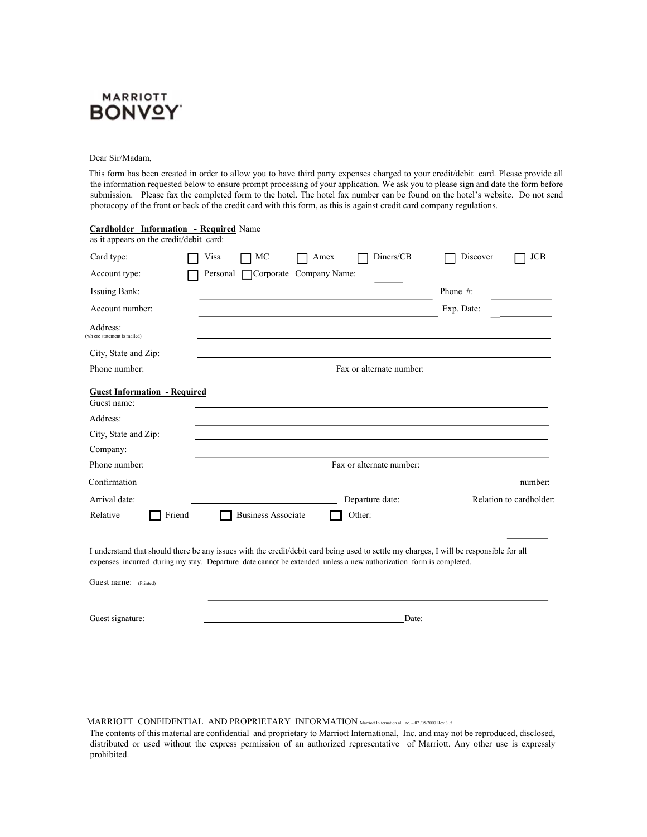

## Dear Sir/Madam,

 This form has been created in order to allow you to have third party expenses charged to your credit/debit card. Please provide all the information requested below to ensure prompt processing of your application. We ask you to please sign and date the form before submission. Please fax the completed form to the hotel. The hotel fax number can be found on the hotel's website. Do not send photocopy of the front or back of the credit card with this form, as this is against credit card company regulations.

| <b>Cardholder Information - Required Name</b><br>as it appears on the credit/debit card: |                                                                                                                                                                                                                                                             |                                     |  |
|------------------------------------------------------------------------------------------|-------------------------------------------------------------------------------------------------------------------------------------------------------------------------------------------------------------------------------------------------------------|-------------------------------------|--|
| Card type:                                                                               | Visa<br>MC<br>Amex                                                                                                                                                                                                                                          | Diners/CB<br><b>JCB</b><br>Discover |  |
| Account type:                                                                            | Corporate   Company Name:<br>Personal                                                                                                                                                                                                                       |                                     |  |
| <b>Issuing Bank:</b>                                                                     |                                                                                                                                                                                                                                                             | Phone $#$ :                         |  |
| Account number:                                                                          |                                                                                                                                                                                                                                                             | Exp. Date:                          |  |
| Address:<br>wh ere statement is mailed)                                                  |                                                                                                                                                                                                                                                             |                                     |  |
| City, State and Zip:                                                                     |                                                                                                                                                                                                                                                             |                                     |  |
| Phone number:                                                                            | Fax or alternate number:                                                                                                                                                                                                                                    |                                     |  |
| <b>Guest Information - Required</b><br>Guest name:                                       |                                                                                                                                                                                                                                                             |                                     |  |
| Address:                                                                                 |                                                                                                                                                                                                                                                             |                                     |  |
| City, State and Zip:                                                                     |                                                                                                                                                                                                                                                             |                                     |  |
| Company:                                                                                 |                                                                                                                                                                                                                                                             |                                     |  |
| Phone number:                                                                            | Fax or alternate number:                                                                                                                                                                                                                                    |                                     |  |
| Confirmation                                                                             |                                                                                                                                                                                                                                                             | number:                             |  |
| Arrival date:                                                                            | Departure date:                                                                                                                                                                                                                                             | Relation to cardholder:             |  |
| Relative<br>Friend                                                                       | <b>Business Associate</b><br>Other:                                                                                                                                                                                                                         |                                     |  |
|                                                                                          |                                                                                                                                                                                                                                                             |                                     |  |
|                                                                                          | I understand that should there be any issues with the credit/debit card being used to settle my charges, I will be responsible for all<br>expenses incurred during my stay. Departure date cannot be extended unless a new authorization form is completed. |                                     |  |
| Guest name: (Printed)                                                                    |                                                                                                                                                                                                                                                             |                                     |  |
| Guest signature:                                                                         |                                                                                                                                                                                                                                                             | Date:                               |  |

## MARRIOTT CONFIDENTIAL AND PROPRIETARY INFORMATION Marriott In ternation al, Inc. – 07 /05/2007 Rev 3 .5

The contents of this material are confidential and proprietary to Marriott International, Inc. and may not be reproduced, disclosed, distributed or used without the express permission of an authorized representative of Marriott. Any other use is expressly prohibited.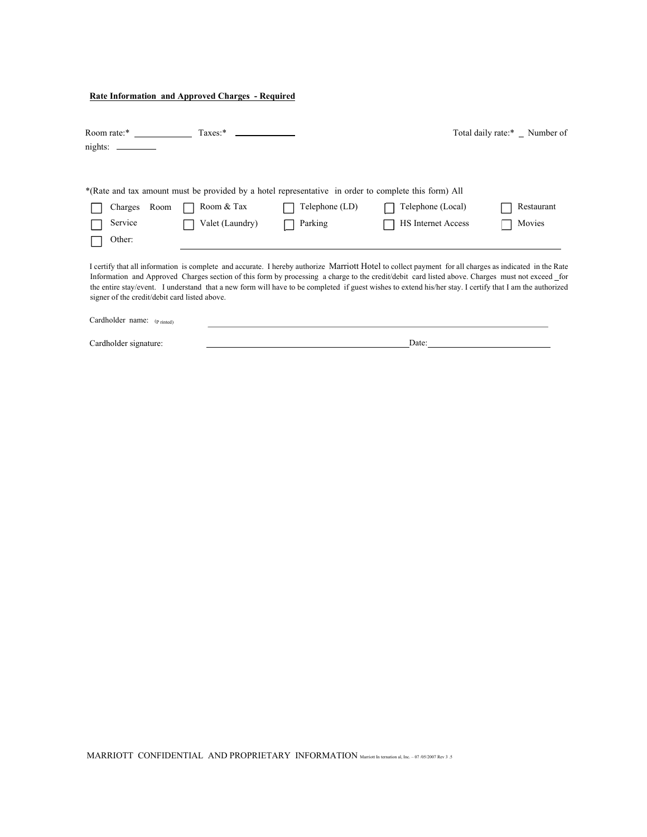## **Rate Information and Approved Charges - Required**

| Room rate:*                                   | $Taxes:$ *                                                                                           |                |                                                                                                                                                                                                                                                                                                                                                                                                                                                                       | Total daily rate:* Number of |
|-----------------------------------------------|------------------------------------------------------------------------------------------------------|----------------|-----------------------------------------------------------------------------------------------------------------------------------------------------------------------------------------------------------------------------------------------------------------------------------------------------------------------------------------------------------------------------------------------------------------------------------------------------------------------|------------------------------|
| nights:                                       |                                                                                                      |                |                                                                                                                                                                                                                                                                                                                                                                                                                                                                       |                              |
|                                               |                                                                                                      |                |                                                                                                                                                                                                                                                                                                                                                                                                                                                                       |                              |
|                                               | *(Rate and tax amount must be provided by a hotel representative in order to complete this form) All |                |                                                                                                                                                                                                                                                                                                                                                                                                                                                                       |                              |
| Room<br>Charges                               | Room & Tax                                                                                           | Telephone (LD) | Telephone (Local)                                                                                                                                                                                                                                                                                                                                                                                                                                                     | Restaurant                   |
| Service                                       | Valet (Laundry)                                                                                      | Parking        | <b>HS</b> Internet Access                                                                                                                                                                                                                                                                                                                                                                                                                                             | Movies                       |
| Other:                                        |                                                                                                      |                |                                                                                                                                                                                                                                                                                                                                                                                                                                                                       |                              |
| signer of the credit/debit card listed above. |                                                                                                      |                | I certify that all information is complete and accurate. I hereby authorize Marriott Hotel to collect payment for all charges as indicated in the Rate<br>Information and Approved Charges section of this form by processing a charge to the credit/debit card listed above. Charges must not exceed for<br>the entire stay/event. I understand that a new form will have to be completed if guest wishes to extend his/her stay. I certify that I am the authorized |                              |

| Cardholder name: $(p_{\text{rinted}})$ |  |  |
|----------------------------------------|--|--|
|                                        |  |  |

Cardholder signature:

**Date:** <u>Date:</u>